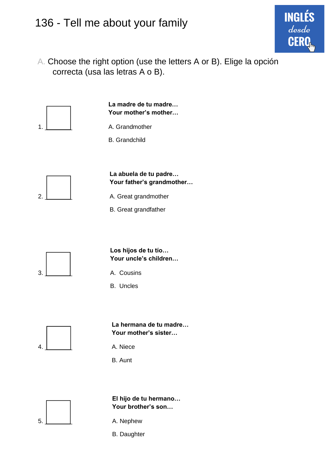## 136 - Tell me about your family

A. Choose the right option (use the letters A or B). Elige la opción correcta (usa las letras A o B).

**ING** 

desde





**El hijo de tu hermano… Your brother's son…**

- 5.  $\vert$  A. Nephew
	- B. Daughter